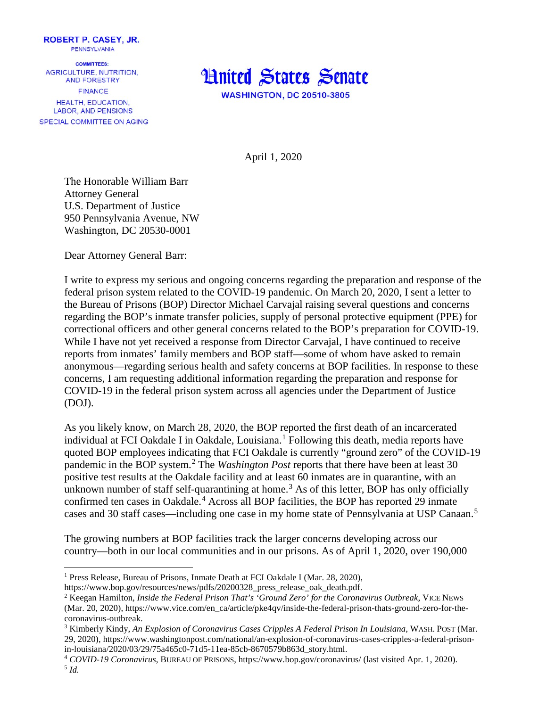

**COMMITTEES:** AGRICULTURE, NUTRITION. AND FORESTRY **FINANCE HEALTH, EDUCATION. LABOR, AND PENSIONS** SPECIAL COMMITTEE ON AGING



April 1, 2020

The Honorable William Barr Attorney General U.S. Department of Justice 950 Pennsylvania Avenue, NW Washington, DC 20530-0001

Dear Attorney General Barr:

I write to express my serious and ongoing concerns regarding the preparation and response of the federal prison system related to the COVID-19 pandemic. On March 20, 2020, I sent a letter to the Bureau of Prisons (BOP) Director Michael Carvajal raising several questions and concerns regarding the BOP's inmate transfer policies, supply of personal protective equipment (PPE) for correctional officers and other general concerns related to the BOP's preparation for COVID-19. While I have not yet received a response from Director Carvajal, I have continued to receive reports from inmates' family members and BOP staff—some of whom have asked to remain anonymous—regarding serious health and safety concerns at BOP facilities. In response to these concerns, I am requesting additional information regarding the preparation and response for COVID-19 in the federal prison system across all agencies under the Department of Justice (DOJ).

As you likely know, on March 28, 2020, the BOP reported the first death of an incarcerated individual at FCI Oakdale I in Oakdale, Louisiana.<sup>[1](#page-0-0)</sup> Following this death, media reports have quoted BOP employees indicating that FCI Oakdale is currently "ground zero" of the COVID-19 pandemic in the BOP system. [2](#page-0-1) The *Washington Post* reports that there have been at least 30 positive test results at the Oakdale facility and at least 60 inmates are in quarantine, with an unknown number of staff self-quarantining at home.<sup>[3](#page-0-2)</sup> As of this letter, BOP has only officially confirmed ten cases in Oakdale.<sup>[4](#page-0-3)</sup> Across all BOP facilities, the BOP has reported 29 inmate cases and 30 staff cases—including one case in my home state of Pennsylvania at USP Canaan.<sup>[5](#page-0-4)</sup>

<span id="page-0-5"></span>The growing numbers at BOP facilities track the larger concerns developing across our country—both in our local communities and in our prisons. As of April 1, 2020, over 190,000

<span id="page-0-0"></span><sup>&</sup>lt;sup>1</sup> Press Release, Bureau of Prisons, Inmate Death at FCI Oakdale I (Mar. 28, 2020),

https://www.bop.gov/resources/news/pdfs/20200328\_press\_release\_oak\_death.pdf.

<span id="page-0-1"></span><sup>2</sup> Keegan Hamilton, *Inside the Federal Prison That's 'Ground Zero' for the Coronavirus Outbreak*, VICE NEWS (Mar. 20, 2020), https://www.vice.com/en\_ca/article/pke4qv/inside-the-federal-prison-thats-ground-zero-for-thecoronavirus-outbreak.

<span id="page-0-2"></span><sup>3</sup> Kimberly Kindy, *An Explosion of Coronavirus Cases Cripples A Federal Prison In Louisiana*, WASH. POST (Mar. 29, 2020), https://www.washingtonpost.com/national/an-explosion-of-coronavirus-cases-cripples-a-federal-prisonin-louisiana/2020/03/29/75a465c0-71d5-11ea-85cb-8670579b863d\_story.html.

<span id="page-0-4"></span><span id="page-0-3"></span><sup>4</sup> *COVID-19 Coronavirus*, BUREAU OF PRISONS, https://www.bop.gov/coronavirus/ (last visited Apr. 1, 2020). <sup>5</sup> *Id.*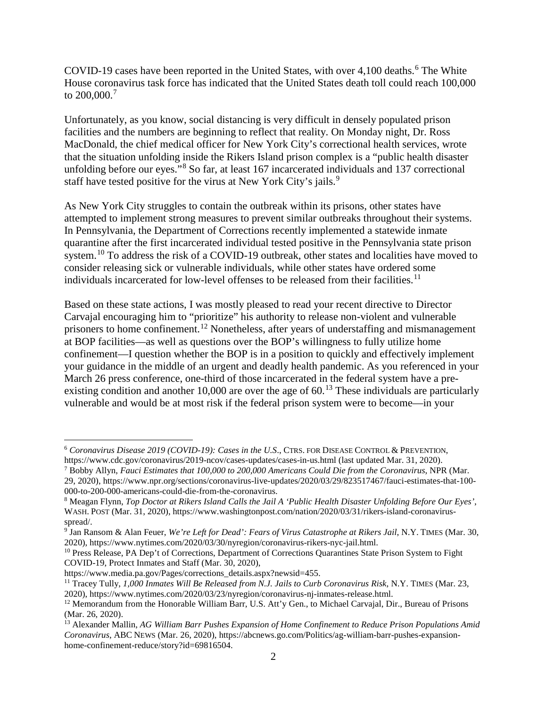COVID-19 cases have been reported in the United States, with over 4,100 deaths.<sup>[6](#page-1-0)</sup> The White House coronavirus task force has indicated that the United States death toll could reach 100,000 to 200,000.<sup>[7](#page-1-1)</sup>

Unfortunately, as you know, social distancing is very difficult in densely populated prison facilities and the numbers are beginning to reflect that reality. On Monday night, Dr. Ross MacDonald, the chief medical officer for New York City's correctional health services, wrote that the situation unfolding inside the Rikers Island prison complex is a "public health disaster unfolding before our eyes."[8](#page-1-2) So far, at least 167 incarcerated individuals and 137 correctional staff have tested positive for the virus at New York City's jails.<sup>[9](#page-1-3)</sup>

As New York City struggles to contain the outbreak within its prisons, other states have attempted to implement strong measures to prevent similar outbreaks throughout their systems. In Pennsylvania, the Department of Corrections recently implemented a statewide inmate quarantine after the first incarcerated individual tested positive in the Pennsylvania state prison system.<sup>[10](#page-1-4)</sup> To address the risk of a COVID-19 outbreak, other states and localities have moved to consider releasing sick or vulnerable individuals, while other states have ordered some individuals incarcerated for low-level offenses to be released from their facilities.<sup>[11](#page-1-5)</sup>

Based on these state actions, I was mostly pleased to read your recent directive to Director Carvajal encouraging him to "prioritize" his authority to release non-violent and vulnerable prisoners to home confinement.<sup>[12](#page-1-6)</sup> Nonetheless, after years of understaffing and mismanagement at BOP facilities—as well as questions over the BOP's willingness to fully utilize home confinement—I question whether the BOP is in a position to quickly and effectively implement your guidance in the middle of an urgent and deadly health pandemic. As you referenced in your March 26 press conference, one-third of those incarcerated in the federal system have a preexisting condition and another 10,000 are over the age of  $60<sup>13</sup>$  $60<sup>13</sup>$  $60<sup>13</sup>$  These individuals are particularly vulnerable and would be at most risk if the federal prison system were to become—in your

<span id="page-1-0"></span> <sup>6</sup> *Coronavirus Disease 2019 (COVID-19): Cases in the U.S*., CTRS. FOR DISEASE CONTROL & PREVENTION, https://www.cdc.gov/coronavirus/2019-ncov/cases-updates/cases-in-us.html (last updated Mar. 31, 2020).

<span id="page-1-1"></span><sup>7</sup> Bobby Allyn, *Fauci Estimates that 100,000 to 200,000 Americans Could Die from the Coronavirus*, NPR (Mar. 29, 2020), https://www.npr.org/sections/coronavirus-live-updates/2020/03/29/823517467/fauci-estimates-that-100- 000-to-200-000-americans-could-die-from-the-coronavirus.

<span id="page-1-2"></span><sup>8</sup> Meagan Flynn, *Top Doctor at Rikers Island Calls the Jail A 'Public Health Disaster Unfolding Before Our Eyes'*, WASH. POST (Mar. 31, 2020), https://www.washingtonpost.com/nation/2020/03/31/rikers-island-coronavirusspread/.

<span id="page-1-3"></span><sup>&</sup>lt;sup>9</sup> Jan Ransom & Alan Feuer, *We're Left for Dead': Fears of Virus Catastrophe at Rikers Jail*, N.Y. TIMES (Mar. 30, 2020), https://www.nytimes.com/2020/03/30/nyregion/coronavirus-rikers-nyc-jail.html.

<span id="page-1-4"></span><sup>&</sup>lt;sup>10</sup> Press Release, PA Dep't of Corrections, Department of Corrections Quarantines State Prison System to Fight COVID-19, Protect Inmates and Staff (Mar. 30, 2020),

https://www.media.pa.gov/Pages/corrections\_details.aspx?newsid=455.

<span id="page-1-5"></span><sup>11</sup> Tracey Tully, *1,000 Inmates Will Be Released from N.J. Jails to Curb Coronavirus Risk*, N.Y. TIMES (Mar. 23, 2020), https://www.nytimes.com/2020/03/23/nyregion/coronavirus-nj-inmates-release.html.

<span id="page-1-6"></span><sup>&</sup>lt;sup>12</sup> Memorandum from the Honorable William Barr, U.S. Att'y Gen., to Michael Carvajal, Dir., Bureau of Prisons (Mar. 26, 2020).

<span id="page-1-7"></span><sup>13</sup> Alexander Mallin, *AG William Barr Pushes Expansion of Home Confinement to Reduce Prison Populations Amid Coronavirus*, ABC NEWS (Mar. 26, 2020), https://abcnews.go.com/Politics/ag-william-barr-pushes-expansionhome-confinement-reduce/story?id=69816504.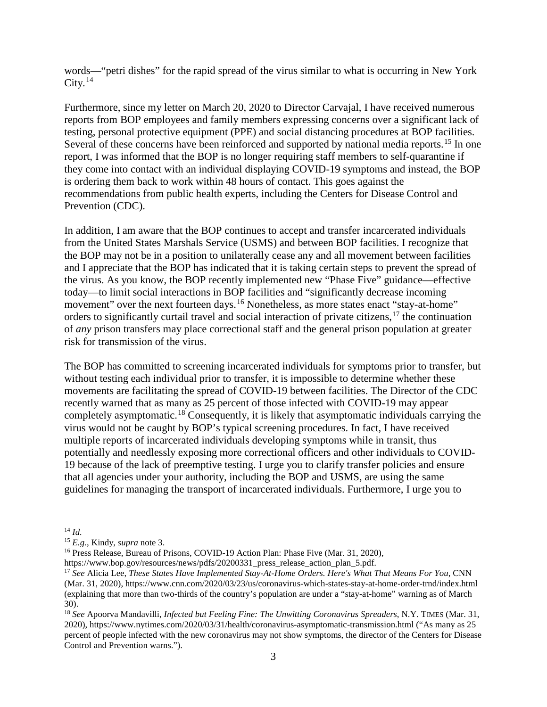words—"petri dishes" for the rapid spread of the virus similar to what is occurring in New York  $City.<sup>14</sup>$  $City.<sup>14</sup>$  $City.<sup>14</sup>$ 

Furthermore, since my letter on March 20, 2020 to Director Carvajal, I have received numerous reports from BOP employees and family members expressing concerns over a significant lack of testing, personal protective equipment (PPE) and social distancing procedures at BOP facilities. Several of these concerns have been reinforced and supported by national media reports.<sup>[15](#page-2-1)</sup> In one report, I was informed that the BOP is no longer requiring staff members to self-quarantine if they come into contact with an individual displaying COVID-19 symptoms and instead, the BOP is ordering them back to work within 48 hours of contact. This goes against the recommendations from public health experts, including the Centers for Disease Control and Prevention (CDC).

In addition, I am aware that the BOP continues to accept and transfer incarcerated individuals from the United States Marshals Service (USMS) and between BOP facilities. I recognize that the BOP may not be in a position to unilaterally cease any and all movement between facilities and I appreciate that the BOP has indicated that it is taking certain steps to prevent the spread of the virus. As you know, the BOP recently implemented new "Phase Five" guidance—effective today—to limit social interactions in BOP facilities and "significantly decrease incoming movement" over the next fourteen days.<sup>[16](#page-2-2)</sup> Nonetheless, as more states enact "stay-at-home" orders to significantly curtail travel and social interaction of private citizens, $17$  the continuation of *any* prison transfers may place correctional staff and the general prison population at greater risk for transmission of the virus.

The BOP has committed to screening incarcerated individuals for symptoms prior to transfer, but without testing each individual prior to transfer, it is impossible to determine whether these movements are facilitating the spread of COVID-19 between facilities. The Director of the CDC recently warned that as many as 25 percent of those infected with COVID-19 may appear completely asymptomatic.<sup>[18](#page-2-4)</sup> Consequently, it is likely that asymptomatic individuals carrying the virus would not be caught by BOP's typical screening procedures. In fact, I have received multiple reports of incarcerated individuals developing symptoms while in transit, thus potentially and needlessly exposing more correctional officers and other individuals to COVID-19 because of the lack of preemptive testing. I urge you to clarify transfer policies and ensure that all agencies under your authority, including the BOP and USMS, are using the same guidelines for managing the transport of incarcerated individuals. Furthermore, I urge you to

<span id="page-2-0"></span> <sup>14</sup> *Id.*

<span id="page-2-1"></span><sup>15</sup> *E.g.*, Kindy, *supra* note [3.](#page-0-5)

<span id="page-2-2"></span><sup>&</sup>lt;sup>16</sup> Press Release, Bureau of Prisons, COVID-19 Action Plan: Phase Five (Mar. 31, 2020),

https://www.bop.gov/resources/news/pdfs/20200331 press release action plan 5.pdf.

<span id="page-2-3"></span><sup>17</sup> *See* Alicia Lee, *These States Have Implemented Stay-At-Home Orders. Here's What That Means For You*, CNN (Mar. 31, 2020), https://www.cnn.com/2020/03/23/us/coronavirus-which-states-stay-at-home-order-trnd/index.html (explaining that more than two-thirds of the country's population are under a "stay-at-home" warning as of March 30).

<span id="page-2-4"></span><sup>18</sup> *See* Apoorva Mandavilli, *Infected but Feeling Fine: The Unwitting Coronavirus Spreaders*, N.Y. TIMES (Mar. 31, 2020), https://www.nytimes.com/2020/03/31/health/coronavirus-asymptomatic-transmission.html ("As many as 25 percent of people infected with the new coronavirus may not show symptoms, the director of the Centers for Disease Control and Prevention warns.").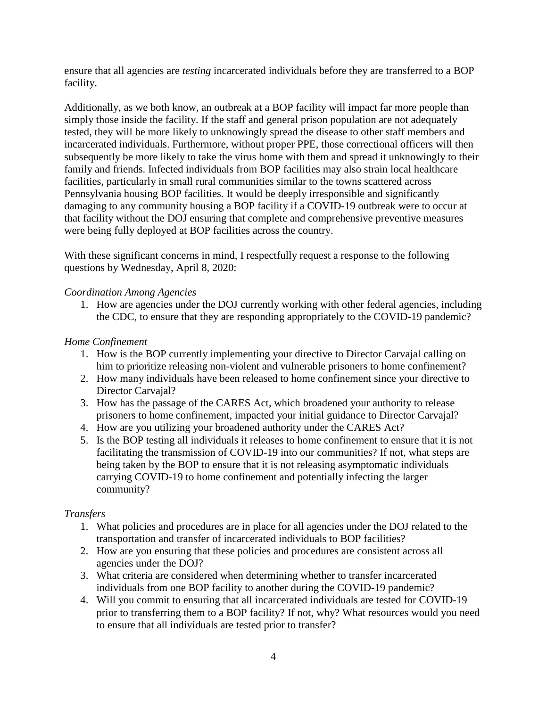ensure that all agencies are *testing* incarcerated individuals before they are transferred to a BOP facility.

Additionally, as we both know, an outbreak at a BOP facility will impact far more people than simply those inside the facility. If the staff and general prison population are not adequately tested, they will be more likely to unknowingly spread the disease to other staff members and incarcerated individuals. Furthermore, without proper PPE, those correctional officers will then subsequently be more likely to take the virus home with them and spread it unknowingly to their family and friends. Infected individuals from BOP facilities may also strain local healthcare facilities, particularly in small rural communities similar to the towns scattered across Pennsylvania housing BOP facilities. It would be deeply irresponsible and significantly damaging to any community housing a BOP facility if a COVID-19 outbreak were to occur at that facility without the DOJ ensuring that complete and comprehensive preventive measures were being fully deployed at BOP facilities across the country.

With these significant concerns in mind, I respectfully request a response to the following questions by Wednesday, April 8, 2020:

# *Coordination Among Agencies*

1. How are agencies under the DOJ currently working with other federal agencies, including the CDC, to ensure that they are responding appropriately to the COVID-19 pandemic?

# *Home Confinement*

- 1. How is the BOP currently implementing your directive to Director Carvajal calling on him to prioritize releasing non-violent and vulnerable prisoners to home confinement?
- 2. How many individuals have been released to home confinement since your directive to Director Carvaial?
- 3. How has the passage of the CARES Act, which broadened your authority to release prisoners to home confinement, impacted your initial guidance to Director Carvajal?
- 4. How are you utilizing your broadened authority under the CARES Act?
- 5. Is the BOP testing all individuals it releases to home confinement to ensure that it is not facilitating the transmission of COVID-19 into our communities? If not, what steps are being taken by the BOP to ensure that it is not releasing asymptomatic individuals carrying COVID-19 to home confinement and potentially infecting the larger community?

### *Transfers*

- 1. What policies and procedures are in place for all agencies under the DOJ related to the transportation and transfer of incarcerated individuals to BOP facilities?
- 2. How are you ensuring that these policies and procedures are consistent across all agencies under the DOJ?
- 3. What criteria are considered when determining whether to transfer incarcerated individuals from one BOP facility to another during the COVID-19 pandemic?
- 4. Will you commit to ensuring that all incarcerated individuals are tested for COVID-19 prior to transferring them to a BOP facility? If not, why? What resources would you need to ensure that all individuals are tested prior to transfer?